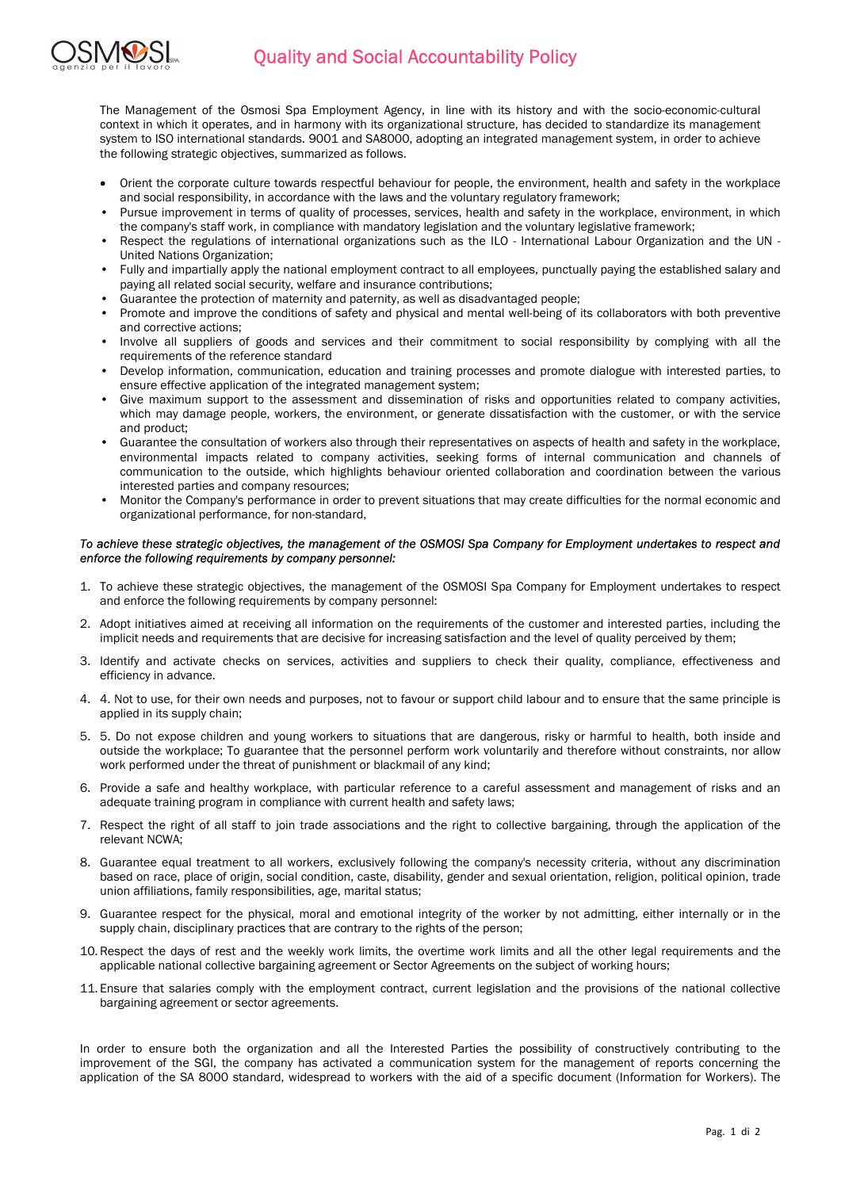

The Management of the Osmosi Spa Employment Agency, in line with its history and with the socio-economic-cultural context in which it operates, and in harmony with its organizational structure, has decided to standardize its management system to ISO international standards. 9001 and SA8000, adopting an integrated management system, in order to achieve the following strategic objectives, summarized as follows.

- Orient the corporate culture towards respectful behaviour for people, the environment, health and safety in the workplace and social responsibility, in accordance with the laws and the voluntary regulatory framework;
- Pursue improvement in terms of quality of processes, services, health and safety in the workplace, environment, in which the company's staff work, in compliance with mandatory legislation and the voluntary legislative framework;
- Respect the regulations of international organizations such as the ILO International Labour Organization and the UN United Nations Organization;
- Fully and impartially apply the national employment contract to all employees, punctually paying the established salary and paying all related social security, welfare and insurance contributions;
- Guarantee the protection of maternity and paternity, as well as disadvantaged people;
- Promote and improve the conditions of safety and physical and mental well-being of its collaborators with both preventive and corrective actions;
- Involve all suppliers of goods and services and their commitment to social responsibility by complying with all the requirements of the reference standard
- Develop information, communication, education and training processes and promote dialogue with interested parties, to ensure effective application of the integrated management system;
- Give maximum support to the assessment and dissemination of risks and opportunities related to company activities, which may damage people, workers, the environment, or generate dissatisfaction with the customer, or with the service and product;
- Guarantee the consultation of workers also through their representatives on aspects of health and safety in the workplace, environmental impacts related to company activities, seeking forms of internal communication and channels of communication to the outside, which highlights behaviour oriented collaboration and coordination between the various interested parties and company resources;
- Monitor the Company's performance in order to prevent situations that may create difficulties for the normal economic and organizational performance, for non-standard,

## To achieve these strategic objectives, the management of the OSMOSI Spa Company for Employment undertakes to respect and enforce the following requirements by company personnel:

- 1. To achieve these strategic objectives, the management of the OSMOSI Spa Company for Employment undertakes to respect and enforce the following requirements by company personnel:
- 2. Adopt initiatives aimed at receiving all information on the requirements of the customer and interested parties, including the implicit needs and requirements that are decisive for increasing satisfaction and the level of quality perceived by them;
- 3. Identify and activate checks on services, activities and suppliers to check their quality, compliance, effectiveness and efficiency in advance.
- 4. 4. Not to use, for their own needs and purposes, not to favour or support child labour and to ensure that the same principle is applied in its supply chain;
- 5. 5. Do not expose children and young workers to situations that are dangerous, risky or harmful to health, both inside and outside the workplace; To guarantee that the personnel perform work voluntarily and therefore without constraints, nor allow work performed under the threat of punishment or blackmail of any kind;
- 6. Provide a safe and healthy workplace, with particular reference to a careful assessment and management of risks and an adequate training program in compliance with current health and safety laws;
- 7. Respect the right of all staff to join trade associations and the right to collective bargaining, through the application of the relevant NCWA;
- 8. Guarantee equal treatment to all workers, exclusively following the company's necessity criteria, without any discrimination based on race, place of origin, social condition, caste, disability, gender and sexual orientation, religion, political opinion, trade union affiliations, family responsibilities, age, marital status;
- 9. Guarantee respect for the physical, moral and emotional integrity of the worker by not admitting, either internally or in the supply chain, disciplinary practices that are contrary to the rights of the person;
- 10.Respect the days of rest and the weekly work limits, the overtime work limits and all the other legal requirements and the applicable national collective bargaining agreement or Sector Agreements on the subject of working hours;
- 11. Ensure that salaries comply with the employment contract, current legislation and the provisions of the national collective bargaining agreement or sector agreements.

In order to ensure both the organization and all the Interested Parties the possibility of constructively contributing to the improvement of the SGI, the company has activated a communication system for the management of reports concerning the application of the SA 8000 standard, widespread to workers with the aid of a specific document (Information for Workers). The